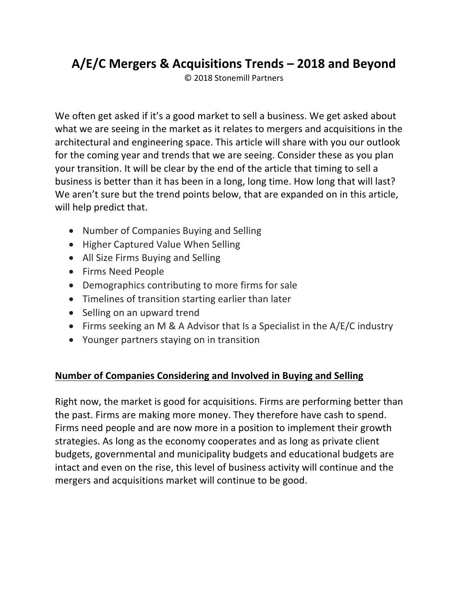# **A/E/C Mergers & Acquisitions Trends – 2018 and Beyond**

© 2018 Stonemill Partners

We often get asked if it's a good market to sell a business. We get asked about what we are seeing in the market as it relates to mergers and acquisitions in the architectural and engineering space. This article will share with you our outlook for the coming year and trends that we are seeing. Consider these as you plan your transition. It will be clear by the end of the article that timing to sell a business is better than it has been in a long, long time. How long that will last? We aren't sure but the trend points below, that are expanded on in this article, will help predict that.

- Number of Companies Buying and Selling
- Higher Captured Value When Selling
- All Size Firms Buying and Selling
- Firms Need People
- Demographics contributing to more firms for sale
- Timelines of transition starting earlier than later
- Selling on an upward trend
- Firms seeking an M & A Advisor that Is a Specialist in the  $A/E/C$  industry
- Younger partners staying on in transition

#### **Number of Companies Considering and Involved in Buying and Selling**

Right now, the market is good for acquisitions. Firms are performing better than the past. Firms are making more money. They therefore have cash to spend. Firms need people and are now more in a position to implement their growth strategies. As long as the economy cooperates and as long as private client budgets, governmental and municipality budgets and educational budgets are intact and even on the rise, this level of business activity will continue and the mergers and acquisitions market will continue to be good.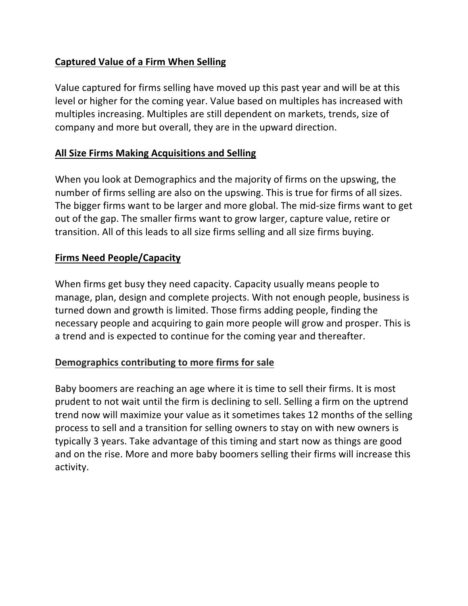### **Captured Value of a Firm When Selling**

Value captured for firms selling have moved up this past year and will be at this level or higher for the coming year. Value based on multiples has increased with multiples increasing. Multiples are still dependent on markets, trends, size of company and more but overall, they are in the upward direction.

#### **All Size Firms Making Acquisitions and Selling**

When you look at Demographics and the majority of firms on the upswing, the number of firms selling are also on the upswing. This is true for firms of all sizes. The bigger firms want to be larger and more global. The mid-size firms want to get out of the gap. The smaller firms want to grow larger, capture value, retire or transition. All of this leads to all size firms selling and all size firms buying.

#### **Firms Need People/Capacity**

When firms get busy they need capacity. Capacity usually means people to manage, plan, design and complete projects. With not enough people, business is turned down and growth is limited. Those firms adding people, finding the necessary people and acquiring to gain more people will grow and prosper. This is a trend and is expected to continue for the coming year and thereafter.

#### Demographics contributing to more firms for sale

Baby boomers are reaching an age where it is time to sell their firms. It is most prudent to not wait until the firm is declining to sell. Selling a firm on the uptrend trend now will maximize your value as it sometimes takes 12 months of the selling process to sell and a transition for selling owners to stay on with new owners is typically 3 years. Take advantage of this timing and start now as things are good and on the rise. More and more baby boomers selling their firms will increase this activity.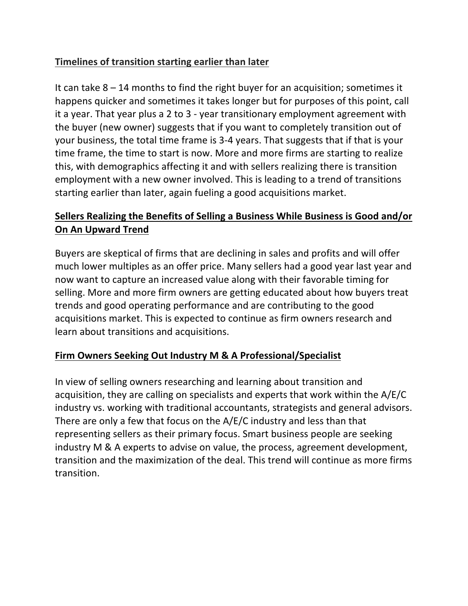### **Timelines of transition starting earlier than later**

It can take  $8 - 14$  months to find the right buyer for an acquisition; sometimes it happens quicker and sometimes it takes longer but for purposes of this point, call it a year. That year plus a 2 to 3 - year transitionary employment agreement with the buyer (new owner) suggests that if you want to completely transition out of your business, the total time frame is 3-4 years. That suggests that if that is your time frame, the time to start is now. More and more firms are starting to realize this, with demographics affecting it and with sellers realizing there is transition employment with a new owner involved. This is leading to a trend of transitions starting earlier than later, again fueling a good acquisitions market.

# Sellers Realizing the Benefits of Selling a Business While Business is Good and/or **On An Upward Trend**

Buyers are skeptical of firms that are declining in sales and profits and will offer much lower multiples as an offer price. Many sellers had a good year last year and now want to capture an increased value along with their favorable timing for selling. More and more firm owners are getting educated about how buyers treat trends and good operating performance and are contributing to the good acquisitions market. This is expected to continue as firm owners research and learn about transitions and acquisitions.

## **Firm Owners Seeking Out Industry M & A Professional/Specialist**

In view of selling owners researching and learning about transition and acquisition, they are calling on specialists and experts that work within the  $A/E/C$ industry vs. working with traditional accountants, strategists and general advisors. There are only a few that focus on the  $A/E/C$  industry and less than that representing sellers as their primary focus. Smart business people are seeking industry M & A experts to advise on value, the process, agreement development, transition and the maximization of the deal. This trend will continue as more firms transition.